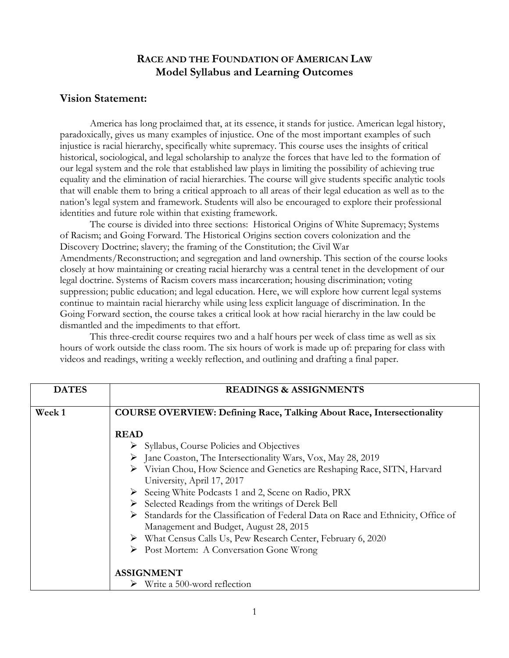# **RACE AND THE FOUNDATION OF AMERICAN LAW Model Syllabus and Learning Outcomes**

## **Vision Statement:**

America has long proclaimed that, at its essence, it stands for justice. American legal history, paradoxically, gives us many examples of injustice. One of the most important examples of such injustice is racial hierarchy, specifically white supremacy. This course uses the insights of critical historical, sociological, and legal scholarship to analyze the forces that have led to the formation of our legal system and the role that established law plays in limiting the possibility of achieving true equality and the elimination of racial hierarchies. The course will give students specific analytic tools that will enable them to bring a critical approach to all areas of their legal education as well as to the nation's legal system and framework. Students will also be encouraged to explore their professional identities and future role within that existing framework.

The course is divided into three sections: Historical Origins of White Supremacy; Systems of Racism; and Going Forward. The Historical Origins section covers colonization and the Discovery Doctrine; slavery; the framing of the Constitution; the Civil War Amendments/Reconstruction; and segregation and land ownership. This section of the course looks closely at how maintaining or creating racial hierarchy was a central tenet in the development of our legal doctrine. Systems of Racism covers mass incarceration; housing discrimination; voting suppression; public education; and legal education. Here, we will explore how current legal systems continue to maintain racial hierarchy while using less explicit language of discrimination. In the Going Forward section, the course takes a critical look at how racial hierarchy in the law could be dismantled and the impediments to that effort.

This three-credit course requires two and a half hours per week of class time as well as six hours of work outside the class room. The six hours of work is made up of: preparing for class with videos and readings, writing a weekly reflection, and outlining and drafting a final paper.

| <b>DATES</b> | <b>READINGS &amp; ASSIGNMENTS</b>                                                                  |
|--------------|----------------------------------------------------------------------------------------------------|
| Week 1       | <b>COURSE OVERVIEW: Defining Race, Talking About Race, Intersectionality</b>                       |
|              | <b>READ</b>                                                                                        |
|              | $\triangleright$ Syllabus, Course Policies and Objectives                                          |
|              | > Jane Coaston, The Intersectionality Wars, Vox, May 28, 2019                                      |
|              | > Vivian Chou, How Science and Genetics are Reshaping Race, SITN, Harvard                          |
|              | University, April 17, 2017                                                                         |
|              | Seeing White Podcasts 1 and 2, Scene on Radio, PRX                                                 |
|              | $\triangleright$ Selected Readings from the writings of Derek Bell                                 |
|              | $\triangleright$ Standards for the Classification of Federal Data on Race and Ethnicity, Office of |
|              | Management and Budget, August 28, 2015                                                             |
|              | > What Census Calls Us, Pew Research Center, February 6, 2020                                      |
|              | $\triangleright$ Post Mortem: A Conversation Gone Wrong                                            |
|              | <b>ASSIGNMENT</b>                                                                                  |
|              | $\triangleright$ Write a 500-word reflection                                                       |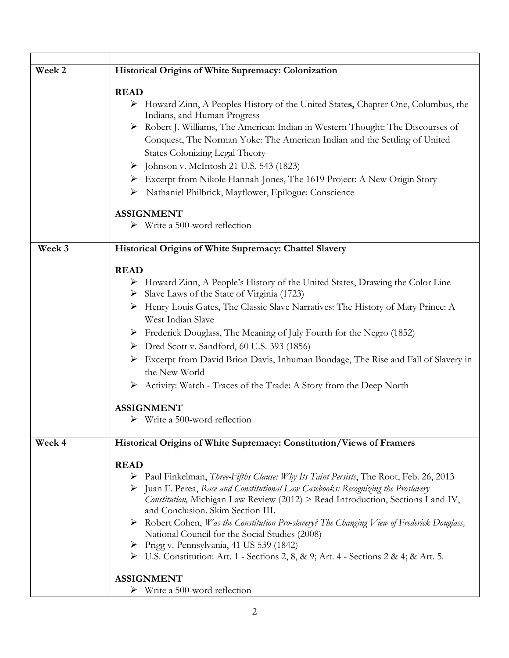| Week 2 | Historical Origins of White Supremacy: Colonization                                                           |
|--------|---------------------------------------------------------------------------------------------------------------|
|        | <b>READ</b>                                                                                                   |
|        | > Howard Zinn, A Peoples History of the United States, Chapter One, Columbus, the                             |
|        | Indians, and Human Progress                                                                                   |
|        | > Robert J. Williams, The American Indian in Western Thought: The Discourses of                               |
|        | Conquest, The Norman Yoke: The American Indian and the Settling of United                                     |
|        | <b>States Colonizing Legal Theory</b>                                                                         |
|        | $\triangleright$ Johnson v. McIntosh 21 U.S. 543 (1823)                                                       |
|        | > Excerpt from Nikole Hannah-Jones, The 1619 Project: A New Origin Story                                      |
|        | > Nathaniel Philbrick, Mayflower, Epilogue: Conscience                                                        |
|        | <b>ASSIGNMENT</b>                                                                                             |
|        | $\triangleright$ Write a 500-word reflection                                                                  |
|        |                                                                                                               |
| Week 3 | Historical Origins of White Supremacy: Chattel Slavery                                                        |
|        | <b>READ</b>                                                                                                   |
|        | > Howard Zinn, A People's History of the United States, Drawing the Color Line                                |
|        | Slave Laws of the State of Virginia (1723)                                                                    |
|        | > Henry Louis Gates, The Classic Slave Narratives: The History of Mary Prince: A                              |
|        | West Indian Slave                                                                                             |
|        | Frederick Douglass, The Meaning of July Fourth for the Negro (1852)                                           |
|        | > Dred Scott v. Sandford, 60 U.S. 393 (1856)                                                                  |
|        | Excerpt from David Brion Davis, Inhuman Bondage, The Rise and Fall of Slavery in                              |
|        | the New World                                                                                                 |
|        | > Activity: Watch - Traces of the Trade: A Story from the Deep North                                          |
|        | <b>ASSIGNMENT</b>                                                                                             |
|        | $\triangleright$ Write a 500-word reflection                                                                  |
|        |                                                                                                               |
| Week 4 | Historical Origins of White Supremacy: Constitution/Views of Framers                                          |
|        | <b>READ</b>                                                                                                   |
|        | $\triangleright$ Paul Finkelman, <i>Three-Fifths Clause: Why Its Taint Persists</i> , The Root, Feb. 26, 2013 |
|        | > Juan F. Perea, Race and Constitutional Law Casebooks: Recognizing the Proslavery                            |
|        | Constitution, Michigan Law Review (2012) > Read Introduction, Sections I and IV,                              |
|        | and Conclusion. Skim Section III.                                                                             |
|        | $\triangleright$ Robert Cohen, Was the Constitution Pro-slavery? The Changing View of Frederick Douglass,     |
|        | National Council for the Social Studies (2008)                                                                |
|        | ▶ Prigg v. Pennsylvania, 41 US 539 (1842)                                                                     |
|        | ▶ U.S. Constitution: Art. 1 - Sections 2, 8, & 9; Art. 4 - Sections 2 & 4; & Art. 5.                          |
|        | <b>ASSIGNMENT</b>                                                                                             |
|        | $\triangleright$ Write a 500-word reflection                                                                  |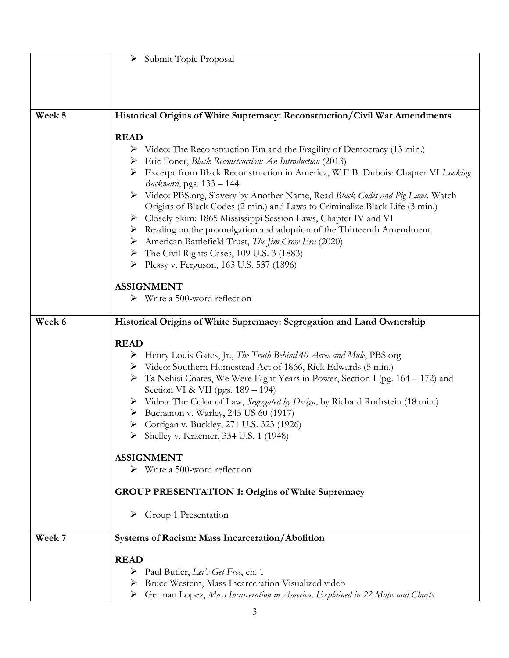|        | > Submit Topic Proposal                                                               |
|--------|---------------------------------------------------------------------------------------|
|        |                                                                                       |
|        |                                                                                       |
|        |                                                                                       |
|        |                                                                                       |
| Week 5 | Historical Origins of White Supremacy: Reconstruction/Civil War Amendments            |
|        | <b>READ</b>                                                                           |
|        | > Video: The Reconstruction Era and the Fragility of Democracy (13 min.)              |
|        | Eric Foner, Black Reconstruction: An Introduction (2013)                              |
|        | Excerpt from Black Reconstruction in America, W.E.B. Dubois: Chapter VI Looking       |
|        | Backward, pgs. 133 - 144                                                              |
|        | > Video: PBS.org, Slavery by Another Name, Read Black Codes and Pig Laws. Watch       |
|        | Origins of Black Codes (2 min.) and Laws to Criminalize Black Life (3 min.)           |
|        | > Closely Skim: 1865 Mississippi Session Laws, Chapter IV and VI                      |
|        | $\triangleright$ Reading on the promulgation and adoption of the Thirteenth Amendment |
|        | > American Battlefield Trust, The Jim Crow Era (2020)                                 |
|        | The Civil Rights Cases, 109 U.S. 3 (1883)                                             |
|        | Plessy v. Ferguson, 163 U.S. 537 (1896)                                               |
|        | <b>ASSIGNMENT</b>                                                                     |
|        | $\triangleright$ Write a 500-word reflection                                          |
|        |                                                                                       |
| Week 6 | Historical Origins of White Supremacy: Segregation and Land Ownership                 |
|        |                                                                                       |
|        | <b>READ</b>                                                                           |
|        | $\triangleright$ Henry Louis Gates, Jr., The Truth Behind 40 Acres and Mule, PBS.org  |
|        | > Video: Southern Homestead Act of 1866, Rick Edwards (5 min.)                        |
|        | Ta Nehisi Coates, We Were Eight Years in Power, Section I (pg. 164 – 172) and         |
|        | Section VI & VII (pgs. 189 – 194)                                                     |
|        | > Video: The Color of Law, Segregated by Design, by Richard Rothstein (18 min.)       |
|        | $\triangleright$ Buchanon v. Warley, 245 US 60 (1917)                                 |
|        | > Corrigan v. Buckley, 271 U.S. 323 (1926)<br>Shelley v. Kraemer, 334 U.S. 1 (1948)   |
|        |                                                                                       |
|        | <b>ASSIGNMENT</b>                                                                     |
|        | $\triangleright$ Write a 500-word reflection                                          |
|        |                                                                                       |
|        | <b>GROUP PRESENTATION 1: Origins of White Supremacy</b>                               |
|        |                                                                                       |
|        | $\triangleright$ Group 1 Presentation                                                 |
| Week 7 | Systems of Racism: Mass Incarceration/Abolition                                       |
|        |                                                                                       |
|        | <b>READ</b>                                                                           |
|        | $\triangleright$ Paul Butler, Let's Get Free, ch. 1                                   |
|        | > Bruce Western, Mass Incarceration Visualized video                                  |
|        | German Lopez, Mass Incarceration in America, Explained in 22 Maps and Charts<br>≻     |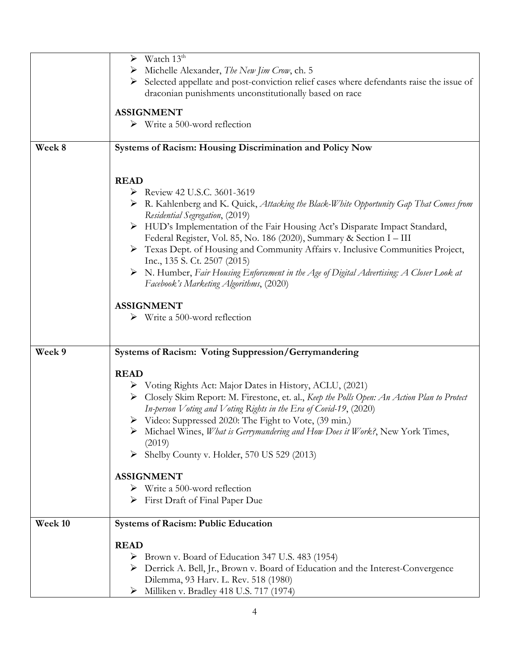|         | Watch 13 <sup>th</sup><br>➤                                                                            |
|---------|--------------------------------------------------------------------------------------------------------|
|         | Michelle Alexander, The New Jim Crow, ch. 5<br>➤                                                       |
|         |                                                                                                        |
|         | Selected appellate and post-conviction relief cases where defendants raise the issue of                |
|         | draconian punishments unconstitutionally based on race                                                 |
|         | <b>ASSIGNMENT</b>                                                                                      |
|         | $\triangleright$ Write a 500-word reflection                                                           |
|         |                                                                                                        |
|         |                                                                                                        |
| Week 8  | Systems of Racism: Housing Discrimination and Policy Now                                               |
|         |                                                                                                        |
|         |                                                                                                        |
|         | <b>READ</b>                                                                                            |
|         | Review 42 U.S.C. 3601-3619                                                                             |
|         | $\triangleright$ R. Kahlenberg and K. Quick, Attacking the Black-White Opportunity Gap That Comes from |
|         | Residential Segregation, (2019)                                                                        |
|         | HUD's Implementation of the Fair Housing Act's Disparate Impact Standard,                              |
|         | Federal Register, Vol. 85, No. 186 (2020), Summary & Section I - III                                   |
|         | > Texas Dept. of Housing and Community Affairs v. Inclusive Communities Project,                       |
|         | Inc., 135 S. Ct. 2507 (2015)                                                                           |
|         | > N. Humber, Fair Housing Enforcement in the Age of Digital Advertising: A Closer Look at              |
|         |                                                                                                        |
|         | Facebook's Marketing Algorithms, (2020)                                                                |
|         |                                                                                                        |
|         | <b>ASSIGNMENT</b>                                                                                      |
|         | $\triangleright$ Write a 500-word reflection                                                           |
|         |                                                                                                        |
|         |                                                                                                        |
| Week 9  | Systems of Racism: Voting Suppression/Gerrymandering                                                   |
|         |                                                                                                        |
|         | <b>READ</b>                                                                                            |
|         | > Voting Rights Act: Major Dates in History, ACLU, (2021)                                              |
|         | > Closely Skim Report: M. Firestone, et. al., Keep the Polls Open: An Action Plan to Protect           |
|         | In-person Voting and Voting Rights in the Era of Covid-19, (2020)                                      |
|         | ▶ Video: Suppressed 2020: The Fight to Vote, (39 min.)                                                 |
|         | Michael Wines, What is Gerrymandering and How Does it Work?, New York Times,                           |
|         | (2019)                                                                                                 |
|         | Shelby County v. Holder, 570 US 529 (2013)                                                             |
|         |                                                                                                        |
|         | <b>ASSIGNMENT</b>                                                                                      |
|         | $\triangleright$ Write a 500-word reflection                                                           |
|         |                                                                                                        |
|         | $\triangleright$ First Draft of Final Paper Due                                                        |
|         |                                                                                                        |
| Week 10 | <b>Systems of Racism: Public Education</b>                                                             |
|         |                                                                                                        |
|         | <b>READ</b>                                                                                            |
|         | Brown v. Board of Education 347 U.S. 483 (1954)<br>➤                                                   |
|         | > Derrick A. Bell, Jr., Brown v. Board of Education and the Interest-Convergence                       |
|         |                                                                                                        |
|         | Dilemma, 93 Harv. L. Rev. 518 (1980)<br>Milliken v. Bradley 418 U.S. 717 (1974)                        |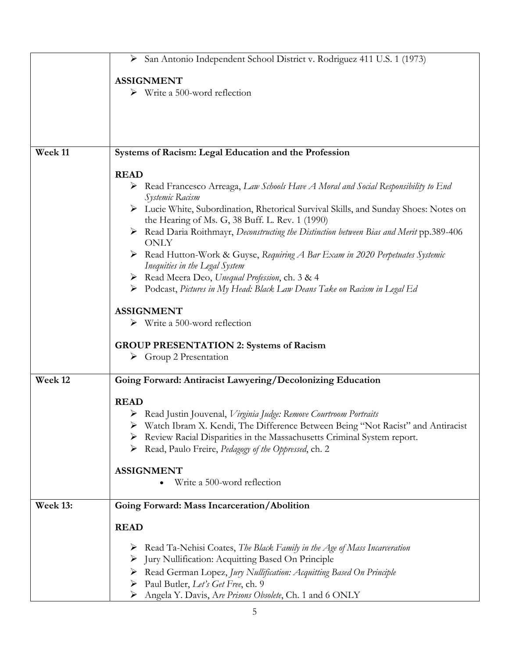|          | > San Antonio Independent School District v. Rodriguez 411 U.S. 1 (1973)                                |
|----------|---------------------------------------------------------------------------------------------------------|
|          | <b>ASSIGNMENT</b>                                                                                       |
|          | $\triangleright$ Write a 500-word reflection                                                            |
|          |                                                                                                         |
|          |                                                                                                         |
|          |                                                                                                         |
| Week 11  | Systems of Racism: Legal Education and the Profession                                                   |
|          |                                                                                                         |
|          | <b>READ</b>                                                                                             |
|          | Read Francesco Arreaga, Law Schools Have A Moral and Social Responsibility to End<br>Systemic Racism    |
|          | > Lucie White, Subordination, Rhetorical Survival Skills, and Sunday Shoes: Notes on                    |
|          | the Hearing of Ms. G, 38 Buff. L. Rev. 1 (1990)                                                         |
|          | > Read Daria Roithmayr, Deconstructing the Distinction between Bias and Merit pp.389-406<br><b>ONLY</b> |
|          | > Read Hutton-Work & Guyse, Requiring A Bar Exam in 2020 Perpetuates Systemic                           |
|          | Inequities in the Legal System                                                                          |
|          | > Read Meera Deo, Unequal Profession, ch. 3 & 4                                                         |
|          | > Podcast, Pictures in My Head: Black Law Deans Take on Racism in Legal Ed                              |
|          |                                                                                                         |
|          | <b>ASSIGNMENT</b><br>$\triangleright$ Write a 500-word reflection                                       |
|          |                                                                                                         |
|          | <b>GROUP PRESENTATION 2: Systems of Racism</b>                                                          |
|          | $\triangleright$ Group 2 Presentation                                                                   |
|          |                                                                                                         |
| Week 12  | Going Forward: Antiracist Lawyering/Decolonizing Education                                              |
|          | <b>READ</b>                                                                                             |
|          | > Read Justin Jouvenal, Virginia Judge: Remove Courtroom Portraits                                      |
|          | Watch Ibram X. Kendi, The Difference Between Being "Not Racist" and Antiracist                          |
|          | Review Racial Disparities in the Massachusetts Criminal System report.                                  |
|          | > Read, Paulo Freire, Pedagogy of the Oppressed, ch. 2                                                  |
|          |                                                                                                         |
|          | <b>ASSIGNMENT</b><br>Write a 500-word reflection                                                        |
|          |                                                                                                         |
| Week 13: | Going Forward: Mass Incarceration/Abolition                                                             |
|          |                                                                                                         |
|          | <b>READ</b>                                                                                             |
|          | $\triangleright$ Read Ta-Nehisi Coates, The Black Family in the Age of Mass Incarceration               |
|          | > Jury Nullification: Acquitting Based On Principle                                                     |
|          | > Read German Lopez, Jury Nullification: Acquitting Based On Principle                                  |
|          | Paul Butler, Let's Get Free, ch. 9<br>➤                                                                 |
|          | Angela Y. Davis, Are Prisons Obsolete, Ch. 1 and 6 ONLY<br>➤                                            |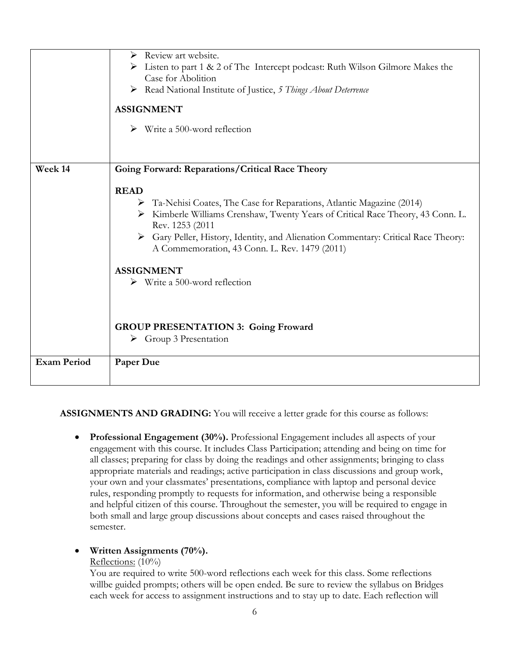|                    | Review art website.<br>≻                                                                                                            |
|--------------------|-------------------------------------------------------------------------------------------------------------------------------------|
|                    | $\triangleright$ Listen to part 1 & 2 of The Intercept podcast: Ruth Wilson Gilmore Makes the                                       |
|                    | Case for Abolition                                                                                                                  |
|                    | Read National Institute of Justice, 5 Things About Deterrence                                                                       |
|                    |                                                                                                                                     |
|                    | <b>ASSIGNMENT</b>                                                                                                                   |
|                    | $\triangleright$ Write a 500-word reflection                                                                                        |
|                    |                                                                                                                                     |
| Week 14            | Going Forward: Reparations/Critical Race Theory                                                                                     |
|                    |                                                                                                                                     |
|                    | <b>READ</b>                                                                                                                         |
|                    | Ta-Nehisi Coates, The Case for Reparations, Atlantic Magazine (2014)<br>➤                                                           |
|                    |                                                                                                                                     |
|                    | Kimberle Williams Crenshaw, Twenty Years of Critical Race Theory, 43 Conn. L.<br>➤                                                  |
|                    | Rev. 1253 (2011                                                                                                                     |
|                    | > Gary Peller, History, Identity, and Alienation Commentary: Critical Race Theory:<br>A Commemoration, 43 Conn. L. Rev. 1479 (2011) |
|                    |                                                                                                                                     |
|                    | <b>ASSIGNMENT</b>                                                                                                                   |
|                    | $\triangleright$ Write a 500-word reflection                                                                                        |
|                    |                                                                                                                                     |
|                    |                                                                                                                                     |
|                    | <b>GROUP PRESENTATION 3: Going Froward</b>                                                                                          |
|                    | $\triangleright$ Group 3 Presentation                                                                                               |
|                    |                                                                                                                                     |
| <b>Exam Period</b> | Paper Due                                                                                                                           |
|                    |                                                                                                                                     |
|                    |                                                                                                                                     |

#### **ASSIGNMENTS AND GRADING:** You will receive a letter grade for this course as follows:

• **Professional Engagement (30%).** Professional Engagement includes all aspects of your engagement with this course. It includes Class Participation; attending and being on time for all classes; preparing for class by doing the readings and other assignments; bringing to class appropriate materials and readings; active participation in class discussions and group work, your own and your classmates' presentations, compliance with laptop and personal device rules, responding promptly to requests for information, and otherwise being a responsible and helpful citizen of this course. Throughout the semester, you will be required to engage in both small and large group discussions about concepts and cases raised throughout the semester.

#### • **Written Assignments (70%).**

#### Reflections: (10%)

You are required to write 500-word reflections each week for this class. Some reflections willbe guided prompts; others will be open ended. Be sure to review the syllabus on Bridges each week for access to assignment instructions and to stay up to date. Each reflection will